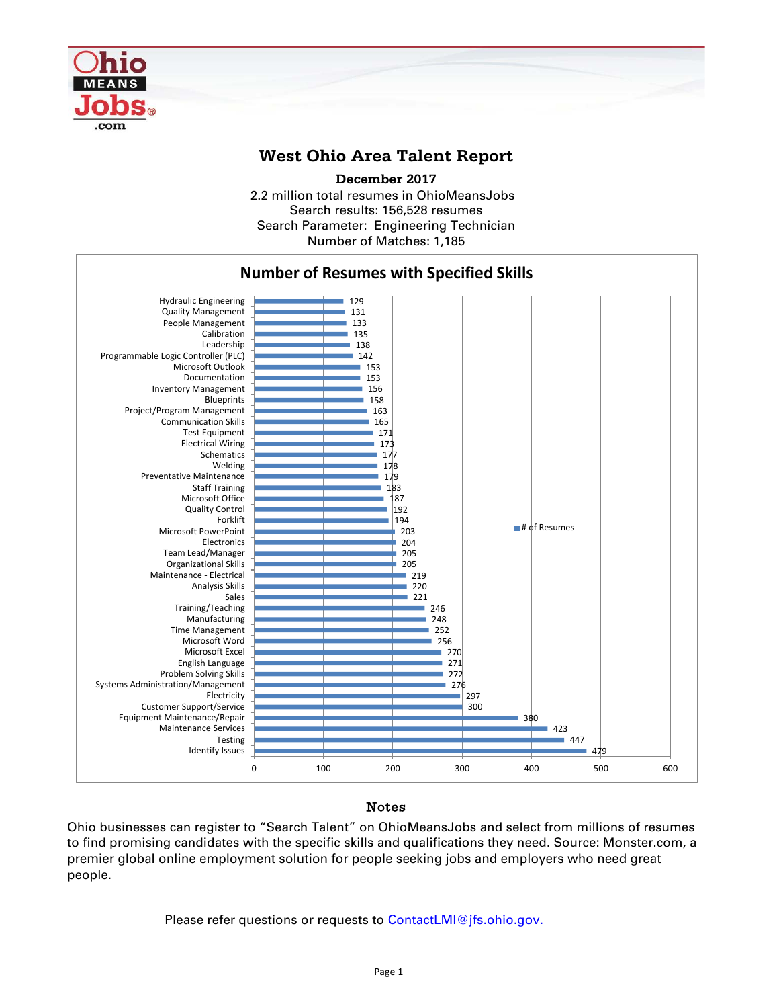

## **West Ohio Area Talent Report**

**December 2017**

2.2 million total resumes in OhioMeansJobs Search results: 156,528 resumes Number of Matches: 1,185 Search Parameter: Engineering Technician



## **Notes**

Ohio businesses can register to "Search Talent" on OhioMeansJobs and select from millions of resumes to find promising candidates with the specific skills and qualifications they need. Source: Monster.com, a premier global online employment solution for people seeking jobs and employers who need great people.

Please refer questions or requests to **[ContactLMI@jfs.ohio.gov.](mailto:ContactLMI@jfs.ohio.gov.)**